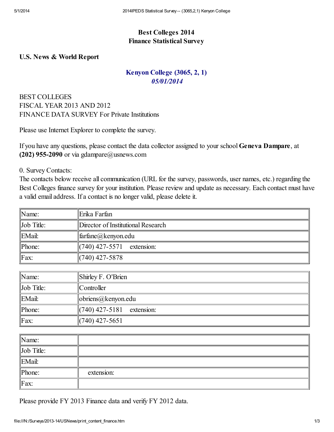## Best Colleges 2014 Finance Statistical Survey

## U.S. News & World Report

## Kenyon College (3065, 2, 1) *05/01/2014*

BEST COLLEGES FISCAL YEAR 2013 AND 2012 FINANCE DATA SURVEY For Private Institutions

Please use Internet Explorer to complete the survey.

If you have any questions, please contact the data collector assigned to your school Geneva Dampare, at (202) 955-2090 or via gdampare $@$ usnews.com

0. Survey Contacts:

The contacts below receive all communication (URL for the survey, passwords, user names, etc.) regarding the Best Colleges finance survey for your institution. Please review and update as necessary. Each contact must have a valid email address. If a contact is no longer valid, please delete it.

| $\mathbb{N}$ ame:  | Erika Farfan                       |
|--------------------|------------------------------------|
| $\ $ Job Title:    | Director of Institutional Research |
| $\mathbb{E}$ Mail: | $\ \text{farfane}(a)\ $ kenyon.edu |
| $\mathbb{P}$ hone: | $\left  (740)$ 427-5571 extension: |
| $\parallel$ Fax:   | $(740)$ 427-5878                   |

| $\mathbb{N}$ ame:  | $\parallel$ Shirley F. O'Brien      |
|--------------------|-------------------------------------|
| $\ $ Job Title:    | $\mathbb{C}$ ontroller              |
| $\mathbb{E}$ Mail: | $\phi$ lobriens $\omega$ kenyon edu |
| $\mathbb{P}$ hone: | $\ (740)$ 427-5181 extension:       |
| $\parallel$ Fax:   | $\parallel$ (740) 427-5651          |

| $\mathbb{N}$ ame:  |            |
|--------------------|------------|
| $\ $ Job Title:    |            |
| $\mathbb{E}$ Mail: |            |
| $\mathbb{P}$ hone: | extension: |
| $\parallel$ Fax:   |            |

Please provide FY 2013 Finance data and verify FY 2012 data.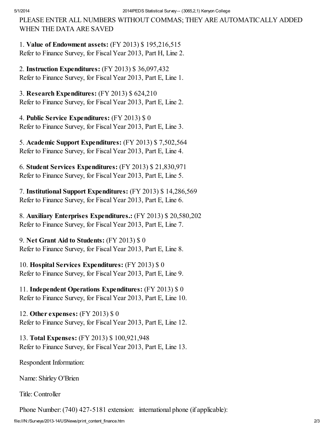PLEASE ENTER ALL NUMBERS WITHOUT COMMAS; THEY ARE AUTOMATICALLY ADDED WHEN THE DATA ARE SAVED

1. Value of Endowment assets: (FY 2013) \$ 195,216,515 Refer to Finance Survey, for Fiscal Year 2013, Part H, Line 2.

2. Instruction Expenditures: (FY 2013) \$ 36,097,432 Refer to Finance Survey, for Fiscal Year 2013, Part E, Line 1.

3. Research Expenditures: (FY 2013) \$ 624,210 Refer to Finance Survey, for Fiscal Year 2013, Part E, Line 2.

4. Public Service Expenditures: (FY 2013) \$ 0 Refer to Finance Survey, for Fiscal Year 2013, Part E, Line 3.

5. Academic Support Expenditures: (FY 2013) \$ 7,502,564 Refer to Finance Survey, for Fiscal Year 2013, Part E, Line 4.

6. Student Services Expenditures: (FY 2013) \$ 21,830,971 Refer to Finance Survey, for Fiscal Year 2013, Part E, Line 5.

7. Institutional Support Expenditures: (FY 2013) \$ 14,286,569 Refer to Finance Survey, for Fiscal Year 2013, Part E, Line 6.

8. Auxiliary Enterprises Expenditures.: (FY 2013) \$ 20,580,202 Refer to Finance Survey, for Fiscal Year 2013, Part E, Line 7.

9. Net Grant Aid to Students: (FY 2013) \$ 0 Refer to Finance Survey, for Fiscal Year 2013, Part E, Line 8.

10. Hospital Services Expenditures: (FY 2013) \$ 0 Refer to Finance Survey, for Fiscal Year 2013, Part E, Line 9.

11. Independent Operations Expenditures: (FY 2013) \$ 0 Refer to Finance Survey, for Fiscal Year 2013, Part E, Line 10.

12. Other expenses: (FY 2013) \$ 0 Refer to Finance Survey, for Fiscal Year 2013, Part E, Line 12.

13. Total Expenses: (FY 2013) \$ 100,921,948 Refer to Finance Survey, for Fiscal Year 2013, Part E, Line 13.

Respondent Information:

Name: Shirley O'Brien

Title:Controller

Phone Number: (740) 427-5181 extension: international phone (if applicable):